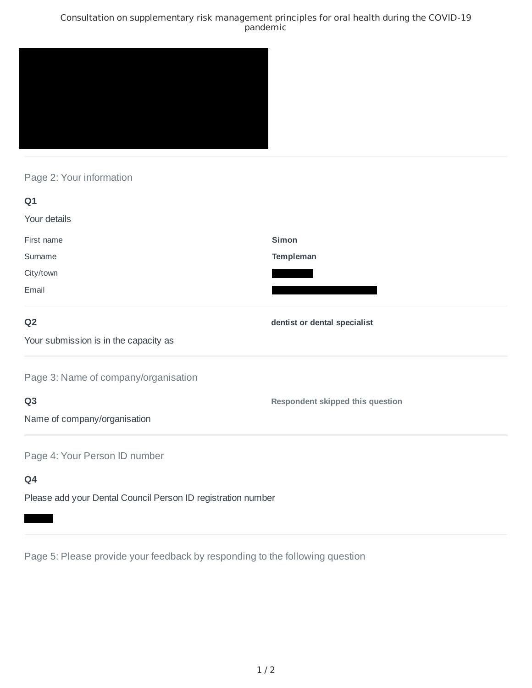### Consultation on supplementary risk management principles for oral health during the COVID-19 pandemic



## Page 2: Your information

| Q1                                                           |                                         |
|--------------------------------------------------------------|-----------------------------------------|
| Your details                                                 |                                         |
| First name                                                   | <b>Simon</b>                            |
| Surname                                                      | Templeman                               |
| City/town                                                    |                                         |
| Email                                                        |                                         |
| Q <sub>2</sub>                                               | dentist or dental specialist            |
| Your submission is in the capacity as                        |                                         |
| Page 3: Name of company/organisation                         |                                         |
| Q <sub>3</sub>                                               | <b>Respondent skipped this question</b> |
| Name of company/organisation                                 |                                         |
| Page 4: Your Person ID number                                |                                         |
| Q4                                                           |                                         |
| Please add your Dental Council Person ID registration number |                                         |

Page 5: Please provide your feedback by responding to the following question